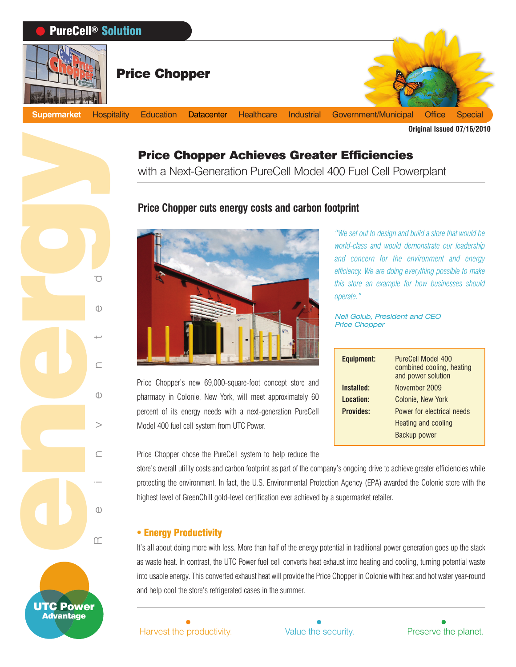

# Price Chopper Achieves Greater Efficiencies

with a Next-Generation PureCell Model 400 Fuel Cell Powerplant

## **Price Chopper cuts energy costs and carbon footprint**



Price Chopper's new 69,000-square-foot concept store and pharmacy in Colonie, New York, will meet approximately 60 percent of its energy needs with a next-generation PureCell Model 400 fuel cell system from UTC Power.

Price Chopper chose the PureCell system to help reduce the

store's overall utility costs and carbon footprint as part of the company's ongoing drive to achieve greater efficiencies while protecting the environment. In fact, the U.S. Environmental Protection Agency (EPA) awarded the Colonie store with the highest level of GreenChill gold-level certification ever achieved by a supermarket retailer.

#### - Energy Productivity

It's all about doing more with less. More than half of the energy potential in traditional power generation goes up the stack as waste heat. In contrast, the UTC Power fuel cell converts heat exhaust into heating and cooling, turning potential waste into usable energy. This converted exhaust heat will provide the Price Chopper in Colonie with heat and hot water year-round and help cool the store's refrigerated cases in the summer.

Harvest the productivity. Value the security. Preserve the planet.



**Equipment:** PureCell Model 400

Neil Golub, President and CEO

*operate."*

Price Chopper

*"We set out to design and build a store that would be world-class and would demonstrate our leadership and concern for the environment and energy efficiency. We are doing everything possible to make this store an example for how businesses should*

**Installed:** November 2009 **Location:** Colonie, New York **Provides:** Power for electrical needs

combined cooling, heating and power solution

Heating and cooling Backup power



Reinvented energy